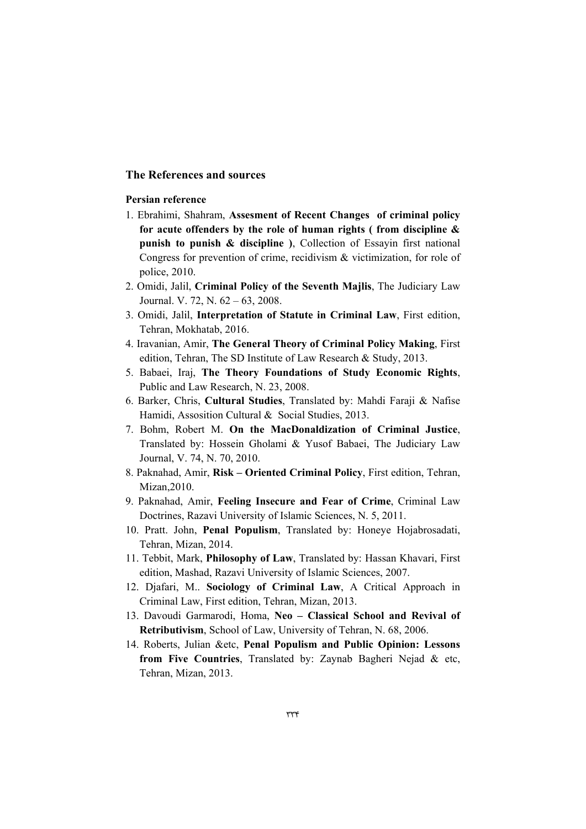## **The References and sources**

## **Persian reference**

- 1. Ebrahimi, Shahram, **Assesment of Recent Changes of criminal policy for acute offenders by the role of human rights ( from discipline & punish to punish & discipline )**, Collection of Essayin first national Congress for prevention of crime, recidivism & victimization, for role of police, 2010.
- 2. Omidi, Jalil, **Criminal Policy of the Seventh Majlis**, The Judiciary Law Journal. V. 72, N. 62 – 63, 2008.
- 3. Omidi, Jalil, **Interpretation of Statute in Criminal Law**, First edition, Tehran, Mokhatab, 2016.
- 4. Iravanian, Amir, **The General Theory of Criminal Policy Making**, First edition, Tehran, The SD Institute of Law Research & Study, 2013.
- 5. Babaei, Iraj, **The Theory Foundations of Study Economic Rights**, Public and Law Research, N. 23, 2008.
- 6. Barker, Chris, **Cultural Studies**, Translated by: Mahdi Faraji & Nafise Hamidi, Assosition Cultural & Social Studies, 2013.
- 7. Bohm, Robert M. **On the MacDonaldization of Criminal Justice**, Translated by: Hossein Gholami & Yusof Babaei, The Judiciary Law Journal, V. 74, N. 70, 2010.
- 8. Paknahad, Amir, **Risk Oriented Criminal Policy**, First edition, Tehran, Mizan,2010.
- 9. Paknahad, Amir, **Feeling Insecure and Fear of Crime**, Criminal Law Doctrines, Razavi University of Islamic Sciences, N. 5, 2011.
- 10. Pratt. John, **Penal Populism**, Translated by: Honeye Hojabrosadati, Tehran, Mizan, 2014.
- 11. Tebbit, Mark, **Philosophy of Law**, Translated by: Hassan Khavari, First edition, Mashad, Razavi University of Islamic Sciences, 2007.
- 12. Djafari, M.. **Sociology of Criminal Law**, A Critical Approach in Criminal Law, First edition, Tehran, Mizan, 2013.
- 13. Davoudi Garmarodi, Homa, **Neo Classical School and Revival of Retributivism**, School of Law, University of Tehran, N. 68, 2006.
- 14. Roberts, Julian &etc, **Penal Populism and Public Opinion: Lessons from Five Countries**, Translated by: Zaynab Bagheri Nejad & etc, Tehran, Mizan, 2013.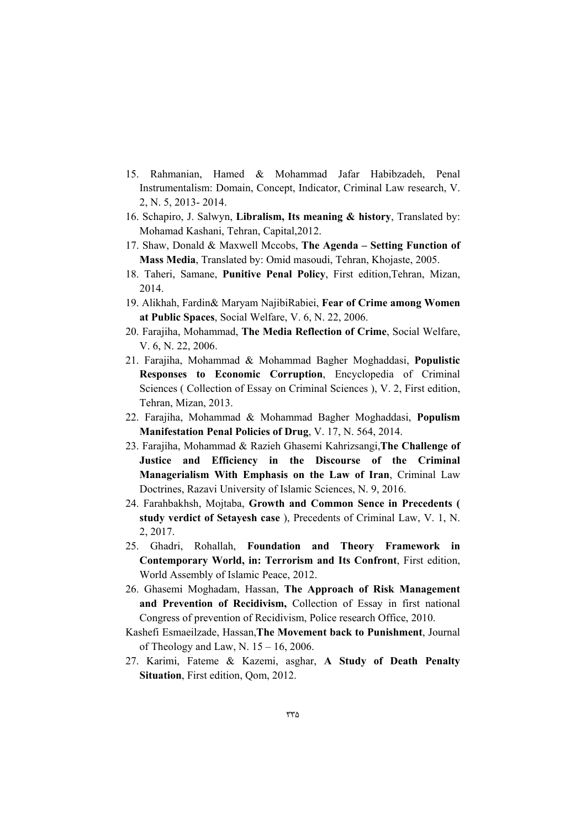- 15. Rahmanian, Hamed & Mohammad Jafar Habibzadeh, Penal Instrumentalism: Domain, Concept, Indicator, Criminal Law research, V. 2, N. 5, 2013- 2014.
- 16. Schapiro, J. Salwyn, **Libralism, Its meaning & history**, Translated by: Mohamad Kashani, Tehran, Capital,2012.
- 17. Shaw, Donald & Maxwell Mccobs, **The Agenda Setting Function of Mass Media**, Translated by: Omid masoudi, Tehran, Khojaste, 2005.
- 18. Taheri, Samane, **Punitive Penal Policy**, First edition,Tehran, Mizan, 2014.
- 19. Alikhah, Fardin& Maryam NajibiRabiei, **Fear of Crime among Women at Public Spaces**, Social Welfare, V. 6, N. 22, 2006.
- 20. Farajiha, Mohammad, **The Media Reflection of Crime**, Social Welfare, V. 6, N. 22, 2006.
- 21. Farajiha, Mohammad & Mohammad Bagher Moghaddasi, **Populistic Responses to Economic Corruption**, Encyclopedia of Criminal Sciences ( Collection of Essay on Criminal Sciences ), V. 2, First edition, Tehran, Mizan, 2013.
- 22. Farajiha, Mohammad & Mohammad Bagher Moghaddasi, **Populism Manifestation Penal Policies of Drug**, V. 17, N. 564, 2014.
- 23. Farajiha, Mohammad & Razieh Ghasemi Kahrizsangi,**The Challenge of Justice and Efficiency in the Discourse of the Criminal Managerialism With Emphasis on the Law of Iran**, Criminal Law Doctrines, Razavi University of Islamic Sciences, N. 9, 2016.
- 24. Farahbakhsh, Mojtaba, **Growth and Common Sence in Precedents ( study verdict of Setayesh case** ), Precedents of Criminal Law, V. 1, N. 2, 2017.
- 25. Ghadri, Rohallah, **Foundation and Theory Framework in Contemporary World, in: Terrorism and Its Confront**, First edition, World Assembly of Islamic Peace, 2012.
- 26. Ghasemi Moghadam, Hassan, **The Approach of Risk Management and Prevention of Recidivism,** Collection of Essay in first national Congress of prevention of Recidivism, Police research Office, 2010.
- Kashefi Esmaeilzade, Hassan,**The Movement back to Punishment**, Journal of Theology and Law, N.  $15 - 16$ , 2006.
- 27. Karimi, Fateme & Kazemi, asghar, **A Study of Death Penalty Situation**, First edition, Qom, 2012.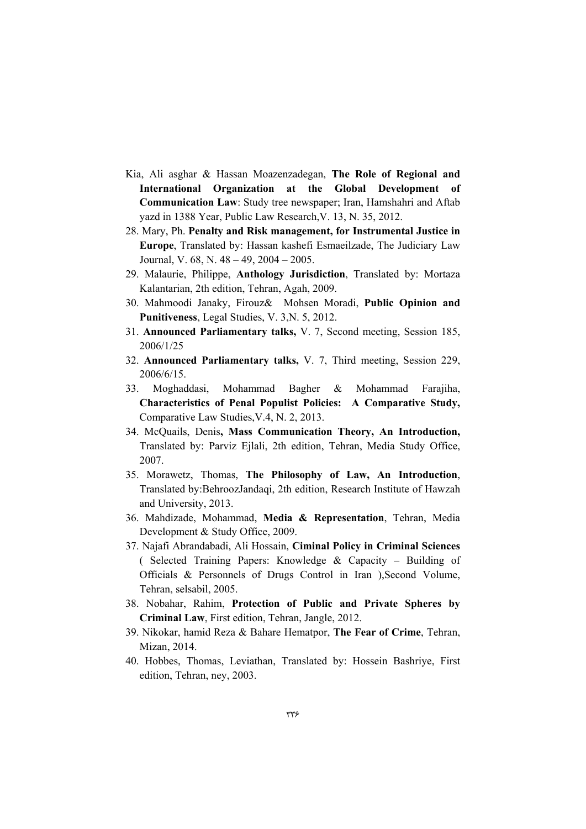- Kia, Ali asghar & Hassan Moazenzadegan, **The Role of Regional and International Organization at the Global Development of Communication Law**: Study tree newspaper; Iran, Hamshahri and Aftab yazd in 1388 Year, Public Law Research,V. 13, N. 35, 2012.
- 28. Mary, Ph. **Penalty and Risk management, for Instrumental Justice in Europe**, Translated by: Hassan kashefi Esmaeilzade, The Judiciary Law Journal, V. 68, N. 48 – 49, 2004 – 2005.
- 29. Malaurie, Philippe, **Anthology Jurisdiction**, Translated by: Mortaza Kalantarian, 2th edition, Tehran, Agah, 2009.
- 30. Mahmoodi Janaky, Firouz& Mohsen Moradi, **Public Opinion and Punitiveness**, Legal Studies, V. 3,N. 5, 2012.
- 31. **Announced Parliamentary talks,** V. 7, Second meeting, Session 185, 2006/1/25
- 32. **Announced Parliamentary talks,** V. 7, Third meeting, Session 229, 2006/6/15.
- 33. Moghaddasi, Mohammad Bagher & Mohammad Farajiha, **Characteristics of Penal Populist Policies: A Comparative Study,**  Comparative Law Studies,V.4, N. 2, 2013.
- 34. McQuails, Denis**, Mass Communication Theory, An Introduction,** Translated by: Parviz Ejlali, 2th edition, Tehran, Media Study Office, 2007.
- 35. Morawetz, Thomas, **The Philosophy of Law, An Introduction**, Translated by:BehroozJandaqi, 2th edition, Research Institute of Hawzah and University, 2013.
- 36. Mahdizade, Mohammad, **Media & Representation**, Tehran, Media Development & Study Office, 2009.
- 37. Najafi Abrandabadi, Ali Hossain, **Ciminal Policy in Criminal Sciences**  ( Selected Training Papers: Knowledge & Capacity – Building of Officials & Personnels of Drugs Control in Iran ),Second Volume, Tehran, selsabil, 2005.
- 38. Nobahar, Rahim, **Protection of Public and Private Spheres by Criminal Law**, First edition, Tehran, Jangle, 2012.
- 39. Nikokar, hamid Reza & Bahare Hematpor, **The Fear of Crime**, Tehran, Mizan, 2014.
- 40. Hobbes, Thomas, Leviathan, Translated by: Hossein Bashriye, First edition, Tehran, ney, 2003.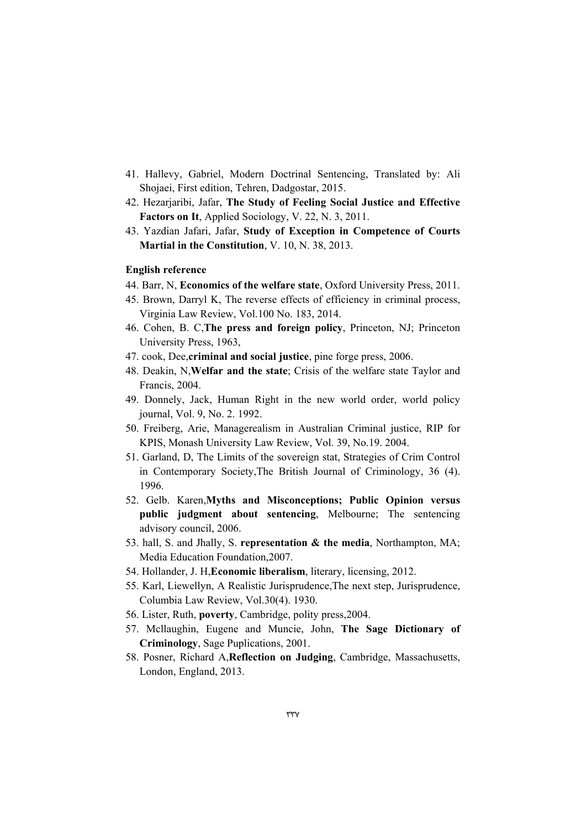- 41. Hallevy, Gabriel, Modern Doctrinal Sentencing, Translated by: Ali Shojaei, First edition, Tehren, Dadgostar, 2015.
- 42. Hezarjaribi, Jafar, **The Study of Feeling Social Justice and Effective Factors on It**, Applied Sociology, V. 22, N. 3, 2011.
- 43. Yazdian Jafari, Jafar, **Study of Exception in Competence of Courts Martial in the Constitution**, V. 10, N. 38, 2013.

#### **English reference**

- 44. Barr, N, **Economics of the welfare state**, Oxford University Press, 2011.
- 45. Brown, Darryl K, The reverse effects of efficiency in criminal process, Virginia Law Review, Vol.100 No. 183, 2014.
- 46. Cohen, B. C,**The press and foreign policy**, Princeton, NJ; Princeton University Press, 1963,
- 47. cook, Dee,**criminal and social justice**, pine forge press, 2006.
- 48. Deakin, N,**Welfar and the state**; Crisis of the welfare state Taylor and Francis, 2004.
- 49. Donnely, Jack, Human Right in the new world order, world policy journal, Vol. 9, No. 2. 1992.
- 50. Freiberg, Arie, Managerealism in Australian Criminal justice, RIP for KPIS, Monash University Law Review, Vol. 39, No.19. 2004.
- 51. Garland, D, The Limits of the sovereign stat, Strategies of Crim Control in Contemporary Society,The British Journal of Criminology, 36 (4). 1996.
- 52. Gelb. Karen,**Myths and Misconceptions; Public Opinion versus public judgment about sentencing**, Melbourne; The sentencing advisory council, 2006.
- 53. hall, S. and Jhally, S. **representation & the media**, Northampton, MA; Media Education Foundation,2007.
- 54. Hollander, J. H,**Economic liberalism**, literary, licensing, 2012.
- 55. Karl, Liewellyn, A Realistic Jurisprudence,The next step, Jurisprudence, Columbia Law Review, Vol.30(4). 1930.
- 56. Lister, Ruth, **poverty**, Cambridge, polity press,2004.
- 57. Mcllaughin, Eugene and Muncie, John, **The Sage Dictionary of Criminology**, Sage Puplications, 2001.
- 58. Posner, Richard A,**Reflection on Judging**, Cambridge, Massachusetts, London, England, 2013.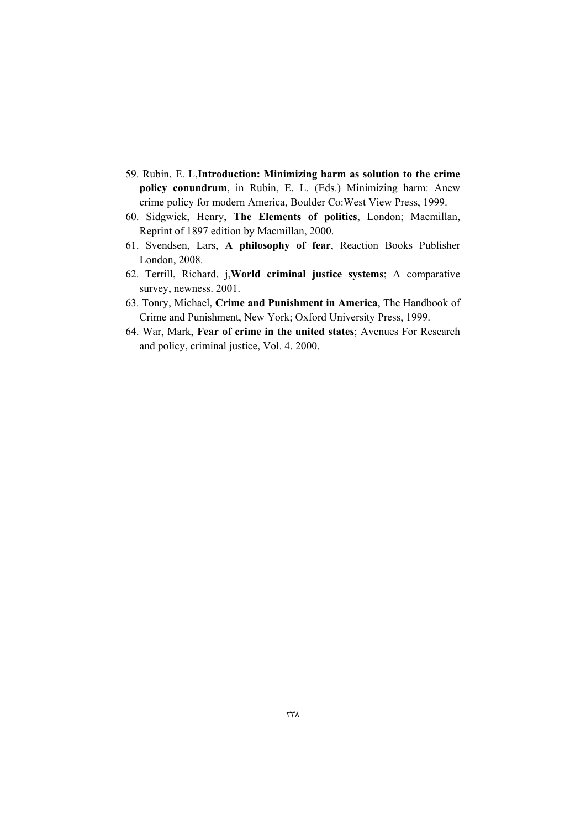- 59. Rubin, E. L,**Introduction: Minimizing harm as solution to the crime policy conundrum**, in Rubin, E. L. (Eds.) Minimizing harm: Anew crime policy for modern America, Boulder Co:West View Press, 1999.
- 60. Sidgwick, Henry, **The Elements of politics**, London; Macmillan, Reprint of 1897 edition by Macmillan, 2000.
- 61. Svendsen, Lars, **A philosophy of fear**, Reaction Books Publisher London, 2008.
- 62. Terrill, Richard, j,**World criminal justice systems**; A comparative survey, newness. 2001.
- 63. Tonry, Michael, **Crime and Punishment in America**, The Handbook of Crime and Punishment, New York; Oxford University Press, 1999.
- 64. War, Mark, **Fear of crime in the united states**; Avenues For Research and policy, criminal justice, Vol. 4. 2000.